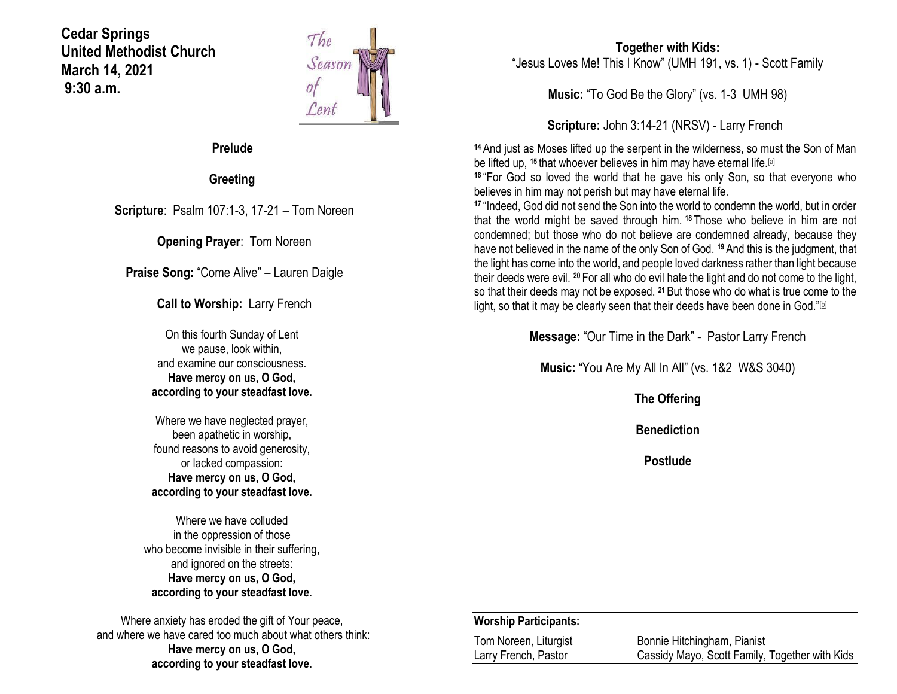**Cedar Springs United Methodist Church March 14, 2021 9:30 a.m.**



### **Prelude**

**Greeting**

**Scripture**: Psalm 107:1-3, 17-21 – Tom Noreen

**Opening Prayer**: Tom Noreen

**Praise Song:** "Come Alive" – Lauren Daigle

**Call to Worship:** Larry French

On this fourth Sunday of Lent we pause, look within, and examine our consciousness. **Have mercy on us, O God, according to your steadfast love.**

Where we have neglected prayer, been apathetic in worship, found reasons to avoid generosity, or lacked compassion: **Have mercy on us, O God, according to your steadfast love.**

Where we have colluded in the oppression of those who become invisible in their suffering, and ignored on the streets: **Have mercy on us, O God, according to your steadfast love.**

Where anxiety has eroded the gift of Your peace, and where we have cared too much about what others think: **Have mercy on us, O God, according to your steadfast love.**

### **Together with Kids:** "Jesus Loves Me! This I Know" (UMH 191, vs. 1) - Scott Family

**Music:** "To God Be the Glory" (vs. 1-3 UMH 98)

**Scripture:** John 3:14-21 (NRSV) - Larry French

**<sup>14</sup>** And just as Moses lifted up the serpent in the wilderness, so must the Son of Man be lifted up, <sup>15</sup> that whoever believes in him may have eternal life.<sup>[\[a\]](https://www.biblegateway.com/passage/?search=John+3%3A14-21&version=NRSV#fen-NRSV-26126a)</sup>

**<sup>16</sup>** "For God so loved the world that he gave his only Son, so that everyone who believes in him may not perish but may have eternal life.

**<sup>17</sup>** "Indeed, God did not send the Son into the world to condemn the world, but in order that the world might be saved through him. **<sup>18</sup>** Those who believe in him are not condemned; but those who do not believe are condemned already, because they have not believed in the name of the only Son of God. **<sup>19</sup>**And this is the judgment, that the light has come into the world, and people loved darkness rather than light because their deeds were evil. **<sup>20</sup>** For all who do evil hate the light and do not come to the light, so that their deeds may not be exposed. **<sup>21</sup>**But those who do what is true come to the light, so that it may be clearly seen that their deeds have been done in God." $[$ lal

**Message:** "Our Time in the Dark" - Pastor Larry French

**Music:** "You Are My All In All" (vs. 1&2 W&S 3040)

**The Offering**

**Benediction**

**Postlude**

#### **Worship Participants:**

| Tom Noreen, Liturgist | Bonnie Hitchingham, Pianist                    |
|-----------------------|------------------------------------------------|
| Larry French, Pastor  | Cassidy Mayo, Scott Family, Together with Kids |